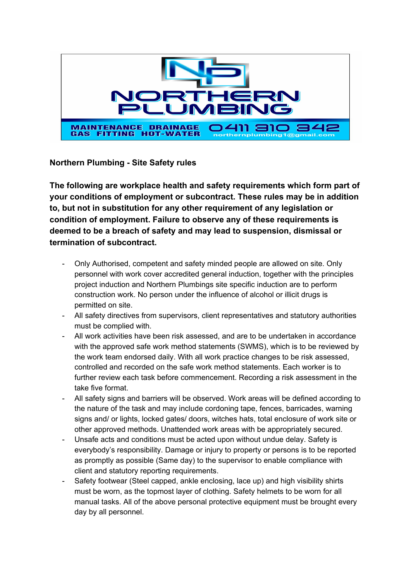

**Northern Plumbing - Site Safety rules**

**The following are workplace health and safety requirements which form part of your conditions of employment or subcontract. These rules may be in addition to, but not in substitution for any other requirement of any legislation or condition of employment. Failure to observe any of these requirements is deemed to be a breach of safety and may lead to suspension, dismissal or termination of subcontract.**

- Only Authorised, competent and safety minded people are allowed on site. Only personnel with work cover accredited general induction, together with the principles project induction and Northern Plumbings site specific induction are to perform construction work. No person under the influence of alcohol or illicit drugs is permitted on site.
- All safety directives from supervisors, client representatives and statutory authorities must be complied with.
- All work activities have been risk assessed, and are to be undertaken in accordance with the approved safe work method statements (SWMS), which is to be reviewed by the work team endorsed daily. With all work practice changes to be risk assessed, controlled and recorded on the safe work method statements. Each worker is to further review each task before commencement. Recording a risk assessment in the take five format.
- All safety signs and barriers will be observed. Work areas will be defined according to the nature of the task and may include cordoning tape, fences, barricades, warning signs and/ or lights, locked gates/ doors, witches hats, total enclosure of work site or other approved methods. Unattended work areas with be appropriately secured.
- Unsafe acts and conditions must be acted upon without undue delay. Safety is everybody's responsibility. Damage or injury to property or persons is to be reported as promptly as possible (Same day) to the supervisor to enable compliance with client and statutory reporting requirements.
- Safety footwear (Steel capped, ankle enclosing, lace up) and high visibility shirts must be worn, as the topmost layer of clothing. Safety helmets to be worn for all manual tasks. All of the above personal protective equipment must be brought every day by all personnel.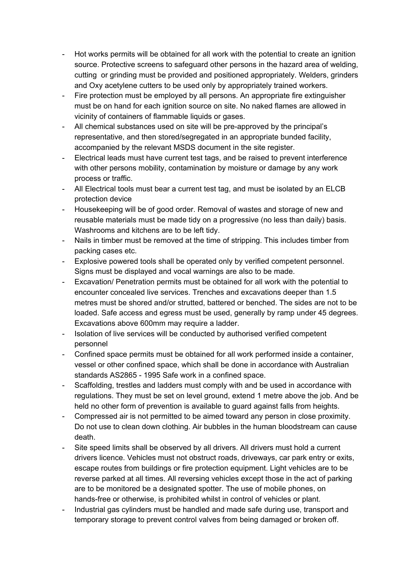- Hot works permits will be obtained for all work with the potential to create an ignition source. Protective screens to safeguard other persons in the hazard area of welding, cutting or grinding must be provided and positioned appropriately. Welders, grinders and Oxy acetylene cutters to be used only by appropriately trained workers.
- Fire protection must be employed by all persons. An appropriate fire extinguisher must be on hand for each ignition source on site. No naked flames are allowed in vicinity of containers of flammable liquids or gases.
- All chemical substances used on site will be pre-approved by the principal's representative, and then stored/segregated in an appropriate bunded facility, accompanied by the relevant MSDS document in the site register.
- Electrical leads must have current test tags, and be raised to prevent interference with other persons mobility, contamination by moisture or damage by any work process or traffic.
- All Electrical tools must bear a current test tag, and must be isolated by an ELCB protection device
- Housekeeping will be of good order. Removal of wastes and storage of new and reusable materials must be made tidy on a progressive (no less than daily) basis. Washrooms and kitchens are to be left tidy.
- Nails in timber must be removed at the time of stripping. This includes timber from packing cases etc.
- Explosive powered tools shall be operated only by verified competent personnel. Signs must be displayed and vocal warnings are also to be made.
- Excavation/ Penetration permits must be obtained for all work with the potential to encounter concealed live services. Trenches and excavations deeper than 1.5 metres must be shored and/or strutted, battered or benched. The sides are not to be loaded. Safe access and egress must be used, generally by ramp under 45 degrees. Excavations above 600mm may require a ladder.
- Isolation of live services will be conducted by authorised verified competent personnel
- Confined space permits must be obtained for all work performed inside a container, vessel or other confined space, which shall be done in accordance with Australian standards AS2865 - 1995 Safe work in a confined space.
- Scaffolding, trestles and ladders must comply with and be used in accordance with regulations. They must be set on level ground, extend 1 metre above the job. And be held no other form of prevention is available to guard against falls from heights.
- Compressed air is not permitted to be aimed toward any person in close proximity. Do not use to clean down clothing. Air bubbles in the human bloodstream can cause death.
- Site speed limits shall be observed by all drivers. All drivers must hold a current drivers licence. Vehicles must not obstruct roads, driveways, car park entry or exits, escape routes from buildings or fire protection equipment. Light vehicles are to be reverse parked at all times. All reversing vehicles except those in the act of parking are to be monitored be a designated spotter. The use of mobile phones, on hands-free or otherwise, is prohibited whilst in control of vehicles or plant.
- Industrial gas cylinders must be handled and made safe during use, transport and temporary storage to prevent control valves from being damaged or broken off.